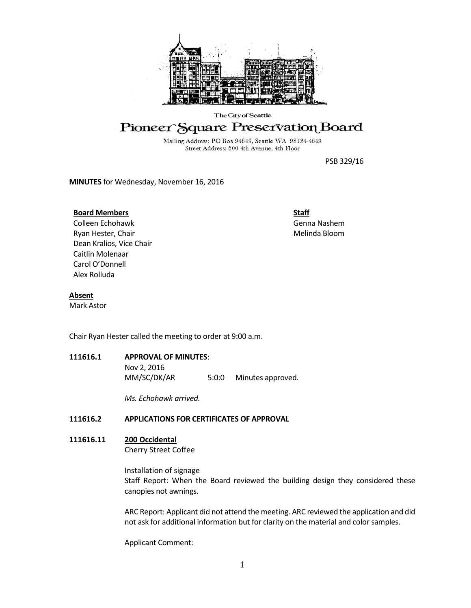

#### The City of Seattle

# Pioneer Square Preservation Board

Mailing Address: PO Box 94649, Seattle WA 98124-4649 Street Address: 600 4th Avenue, 4th Floor

PSB 329/16

**MINUTES** for Wednesday, November 16, 2016

#### **Board Members**

Colleen Echohawk Ryan Hester, Chair Dean Kralios, Vice Chair Caitlin Molenaar Carol O'Donnell Alex Rolluda

**Staff** Genna Nashem Melinda Bloom

### **Absent**

Mark Astor

Chair Ryan Hester called the meeting to order at 9:00 a.m.

**111616.1 APPROVAL OF MINUTES**: Nov 2, 2016 MM/SC/DK/AR 5:0:0 Minutes approved.

*Ms. Echohawk arrived.*

## **111616.2 APPLICATIONS FOR CERTIFICATES OF APPROVAL**

## **111616.11 200 Occidental**

Cherry Street Coffee

Installation of signage Staff Report: When the Board reviewed the building design they considered these canopies not awnings.

ARC Report: Applicant did not attend the meeting. ARC reviewed the application and did not ask for additional information but for clarity on the material and color samples.

Applicant Comment: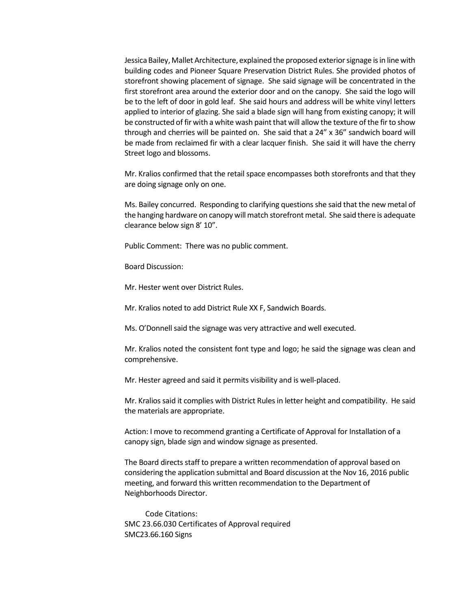Jessica Bailey, Mallet Architecture, explained the proposed exterior signage is in line with building codes and Pioneer Square Preservation District Rules. She provided photos of storefront showing placement of signage. She said signage will be concentrated in the first storefront area around the exterior door and on the canopy. She said the logo will be to the left of door in gold leaf. She said hours and address will be white vinyl letters applied to interior of glazing. She said a blade sign will hang from existing canopy; it will be constructed of fir with a white wash paint that will allow the texture of the fir to show through and cherries will be painted on. She said that a 24" x 36" sandwich board will be made from reclaimed fir with a clear lacquer finish. She said it will have the cherry Street logo and blossoms.

Mr. Kralios confirmed that the retail space encompasses both storefronts and that they are doing signage only on one.

Ms. Bailey concurred. Responding to clarifying questions she said that the new metal of the hanging hardware on canopy will match storefront metal. She said there is adequate clearance below sign 8' 10".

Public Comment: There was no public comment.

Board Discussion:

Mr. Hester went over District Rules.

Mr. Kralios noted to add District Rule XX F, Sandwich Boards.

Ms. O'Donnell said the signage was very attractive and well executed.

Mr. Kralios noted the consistent font type and logo; he said the signage was clean and comprehensive.

Mr. Hester agreed and said it permits visibility and is well-placed.

Mr. Kralios said it complies with District Rules in letter height and compatibility. He said the materials are appropriate.

Action: I move to recommend granting a Certificate of Approval for Installation of a canopy sign, blade sign and window signage as presented.

The Board directs staff to prepare a written recommendation of approval based on considering the application submittal and Board discussion at the Nov 16, 2016 public meeting, and forward this written recommendation to the Department of Neighborhoods Director.

Code Citations: SMC 23.66.030 Certificates of Approval required SMC23.66.160 Signs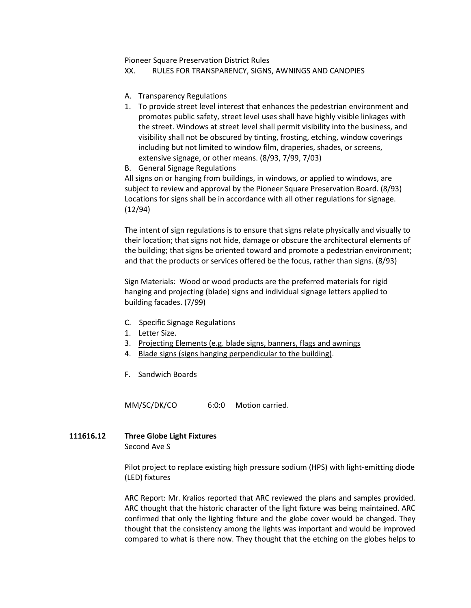Pioneer Square Preservation District Rules

XX. RULES FOR TRANSPARENCY, SIGNS, AWNINGS AND CANOPIES

- A. Transparency Regulations
- 1. To provide street level interest that enhances the pedestrian environment and promotes public safety, street level uses shall have highly visible linkages with the street. Windows at street level shall permit visibility into the business, and visibility shall not be obscured by tinting, frosting, etching, window coverings including but not limited to window film, draperies, shades, or screens, extensive signage, or other means. (8/93, 7/99, 7/03)
- B. General Signage Regulations

All signs on or hanging from buildings, in windows, or applied to windows, are subject to review and approval by the Pioneer Square Preservation Board. (8/93) Locations for signs shall be in accordance with all other regulations for signage. (12/94)

The intent of sign regulations is to ensure that signs relate physically and visually to their location; that signs not hide, damage or obscure the architectural elements of the building; that signs be oriented toward and promote a pedestrian environment; and that the products or services offered be the focus, rather than signs. (8/93)

Sign Materials: Wood or wood products are the preferred materials for rigid hanging and projecting (blade) signs and individual signage letters applied to building facades. (7/99)

- C. Specific Signage Regulations
- 1. Letter Size.
- 3. Projecting Elements (e.g. blade signs, banners, flags and awnings
- 4. Blade signs (signs hanging perpendicular to the building).
- F. Sandwich Boards

MM/SC/DK/CO 6:0:0 Motion carried.

## **111616.12 Three Globe Light Fixtures**

Second Ave S

Pilot project to replace existing high pressure sodium (HPS) with light-emitting diode (LED) fixtures

ARC Report: Mr. Kralios reported that ARC reviewed the plans and samples provided. ARC thought that the historic character of the light fixture was being maintained. ARC confirmed that only the lighting fixture and the globe cover would be changed. They thought that the consistency among the lights was important and would be improved compared to what is there now. They thought that the etching on the globes helps to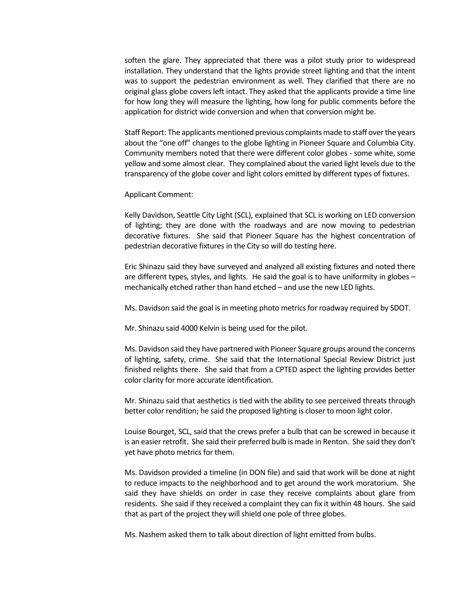soften the glare. They appreciated that there was a pilot study prior to widespread installation. They understand that the lights provide street lighting and that the intent was to support the pedestrian environment as well. They clarified that there are no original glass globe covers left intact. They asked that the applicants provide a time line for how long they will measure the lighting, how long for public comments before the application for district wide conversion and when that conversion might be.

Staff Report: The applicants mentioned previous complaints made to staff over the years about the "one off" changes to the globe lighting in Pioneer Square and Columbia City. Community members noted that there were different color globes - some white, some yellow and some almost clear. They complained about the varied light levels due to the transparency of the globe cover and light colors emitted by different types of fixtures.

Applicant Comment:

Kelly Davidson, Seattle City Light (SCL), explained that SCL is working on LED conversion of lighting; they are done with the roadways and are now moving to pedestrian decorative fixtures. She said that Pioneer Square has the highest concentration of pedestrian decorative fixtures in the City so will do testing here.

Eric Shinazu said they have surveyed and analyzed all existing fixtures and noted there are different types, styles, and lights. He said the goal is to have uniformity in globes – mechanically etched rather than hand etched – and use the new LED lights.

Ms. Davidson said the goal is in meeting photo metrics for roadway required by SDOT.

Mr. Shinazu said 4000 Kelvin is being used for the pilot.

Ms. Davidson said they have partnered with Pioneer Square groups around the concerns of lighting, safety, crime. She said that the International Special Review District just finished relights there. She said that from a CPTED aspect the lighting provides better color clarity for more accurate identification.

Mr. Shinazu said that aesthetics is tied with the ability to see perceived threats through better color rendition; he said the proposed lighting is closer to moon light color.

Louise Bourget, SCL, said that the crews prefer a bulb that can be screwed in because it is an easier retrofit. She said their preferred bulb is made in Renton. She said they don't yet have photo metrics for them.

Ms. Davidson provided a timeline (in DON file) and said that work will be done at night to reduce impacts to the neighborhood and to get around the work moratorium. She said they have shields on order in case they receive complaints about glare from residents. She said if they received a complaint they can fix it within 48 hours. She said that as part of the project they will shield one pole of three globes.

Ms. Nashem asked them to talk about direction of light emitted from bulbs.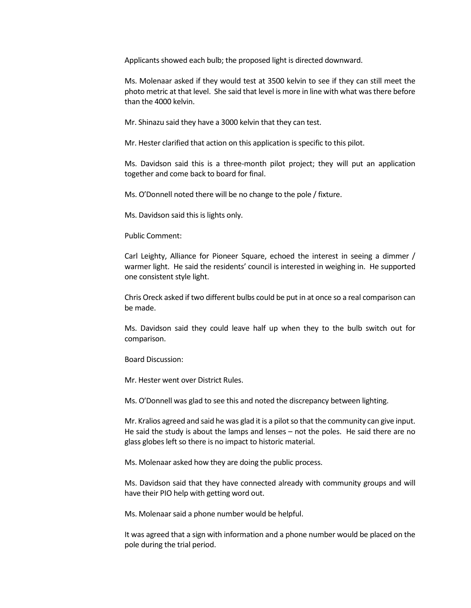Applicants showed each bulb; the proposed light is directed downward.

Ms. Molenaar asked if they would test at 3500 kelvin to see if they can still meet the photo metric at that level. She said that level is more in line with what was there before than the 4000 kelvin.

Mr. Shinazu said they have a 3000 kelvin that they can test.

Mr. Hester clarified that action on this application is specific to this pilot.

Ms. Davidson said this is a three-month pilot project; they will put an application together and come back to board for final.

Ms. O'Donnell noted there will be no change to the pole / fixture.

Ms. Davidson said this is lights only.

Public Comment:

Carl Leighty, Alliance for Pioneer Square, echoed the interest in seeing a dimmer / warmer light. He said the residents' council is interested in weighing in. He supported one consistent style light.

Chris Oreck asked if two different bulbs could be put in at once so a real comparison can be made.

Ms. Davidson said they could leave half up when they to the bulb switch out for comparison.

Board Discussion:

Mr. Hester went over District Rules.

Ms. O'Donnell was glad to see this and noted the discrepancy between lighting.

Mr. Kralios agreed and said he was glad it is a pilot so that the community can give input. He said the study is about the lamps and lenses – not the poles. He said there are no glass globes left so there is no impact to historic material.

Ms. Molenaar asked how they are doing the public process.

Ms. Davidson said that they have connected already with community groups and will have their PIO help with getting word out.

Ms. Molenaar said a phone number would be helpful.

It was agreed that a sign with information and a phone number would be placed on the pole during the trial period.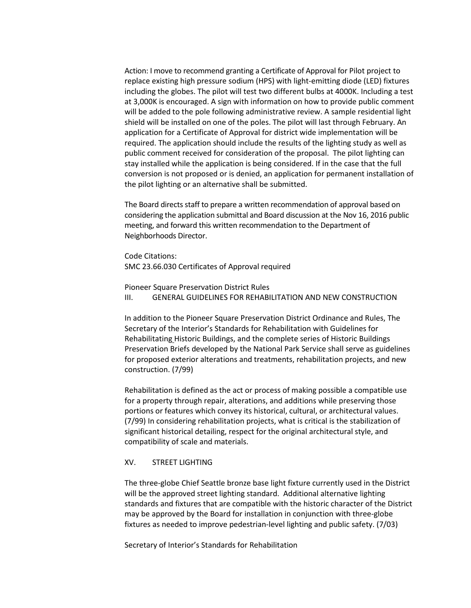Action: I move to recommend granting a Certificate of Approval for Pilot project to replace existing high pressure sodium (HPS) with light-emitting diode (LED) fixtures including the globes. The pilot will test two different bulbs at 4000K. Including a test at 3,000K is encouraged. A sign with information on how to provide public comment will be added to the pole following administrative review. A sample residential light shield will be installed on one of the poles. The pilot will last through February. An application for a Certificate of Approval for district wide implementation will be required. The application should include the results of the lighting study as well as public comment received for consideration of the proposal. The pilot lighting can stay installed while the application is being considered. If in the case that the full conversion is not proposed or is denied, an application for permanent installation of the pilot lighting or an alternative shall be submitted.

The Board directs staff to prepare a written recommendation of approval based on considering the application submittal and Board discussion at the Nov 16, 2016 public meeting, and forward this written recommendation to the Department of Neighborhoods Director.

Code Citations: SMC 23.66.030 Certificates of Approval required

Pioneer Square Preservation District Rules III. GENERAL GUIDELINES FOR REHABILITATION AND NEW CONSTRUCTION

In addition to the Pioneer Square Preservation District Ordinance and Rules, The Secretary of the Interior's Standards for Rehabilitation with Guidelines for Rehabilitating Historic Buildings, and the complete series of Historic Buildings Preservation Briefs developed by the National Park Service shall serve as guidelines for proposed exterior alterations and treatments, rehabilitation projects, and new construction. (7/99)

Rehabilitation is defined as the act or process of making possible a compatible use for a property through repair, alterations, and additions while preserving those portions or features which convey its historical, cultural, or architectural values. (7/99) In considering rehabilitation projects, what is critical is the stabilization of significant historical detailing, respect for the original architectural style, and compatibility of scale and materials.

#### XV. STREET LIGHTING

The three-globe Chief Seattle bronze base light fixture currently used in the District will be the approved street lighting standard. Additional alternative lighting standards and fixtures that are compatible with the historic character of the District may be approved by the Board for installation in conjunction with three-globe fixtures as needed to improve pedestrian-level lighting and public safety. (7/03)

Secretary of Interior's Standards for Rehabilitation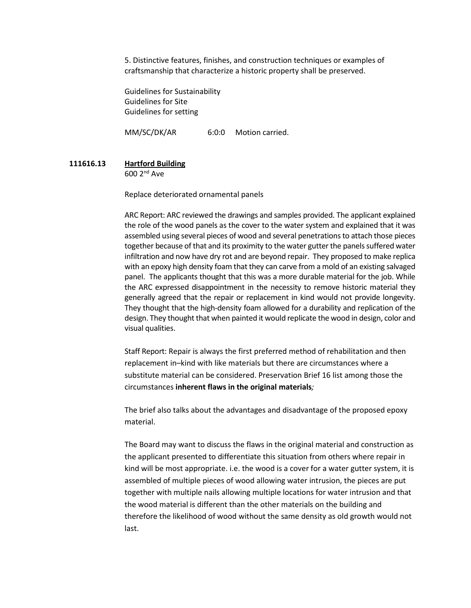5. Distinctive features, finishes, and construction techniques or examples of craftsmanship that characterize a historic property shall be preserved.

[Guidelines for Sustainability](https://www.nps.gov/tps/standards/rehabilitation/guidelines/index.htm) [Guidelines for Site](https://www.nps.gov/tps/standards/rehabilitation/rehab/building01.htm) [Guidelines for setting](https://www.nps.gov/tps/standards/rehabilitation/rehab/setting01.htm)

MM/SC/DK/AR 6:0:0 Motion carried.

**111616.13 Hartford Building** 600 2nd Ave

Replace deteriorated ornamental panels

ARC Report: ARC reviewed the drawings and samples provided. The applicant explained the role of the wood panels as the cover to the water system and explained that it was assembled using several pieces of wood and several penetrations to attach those pieces together because of that and its proximity to the water gutter the panels suffered water infiltration and now have dry rot and are beyond repair. They proposed to make replica with an epoxy high density foam that they can carve from a mold of an existing salvaged panel. The applicants thought that this was a more durable material for the job. While the ARC expressed disappointment in the necessity to remove historic material they generally agreed that the repair or replacement in kind would not provide longevity. They thought that the high-density foam allowed for a durability and replication of the design. They thought that when painted it would replicate the wood in design, color and visual qualities.

Staff Report: Repair is always the first preferred method of rehabilitation and then replacement in–kind with like materials but there are circumstances where a substitute material can be considered. Preservation Brief 16 list among those the circumstances **inherent flaws in the original materials***;*

The brief also talks about the advantages and disadvantage of the proposed epoxy material.

The Board may want to discuss the flaws in the original material and construction as the applicant presented to differentiate this situation from others where repair in kind will be most appropriate. i.e. the wood is a cover for a water gutter system, it is assembled of multiple pieces of wood allowing water intrusion, the pieces are put together with multiple nails allowing multiple locations for water intrusion and that the wood material is different than the other materials on the building and therefore the likelihood of wood without the same density as old growth would not last.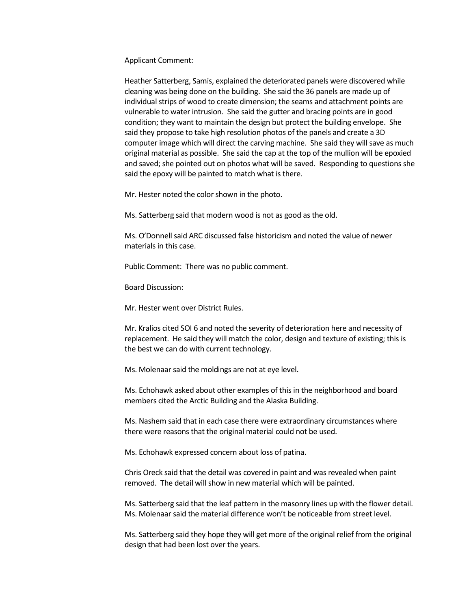Applicant Comment:

Heather Satterberg, Samis, explained the deteriorated panels were discovered while cleaning was being done on the building. She said the 36 panels are made up of individual strips of wood to create dimension; the seams and attachment points are vulnerable to water intrusion. She said the gutter and bracing points are in good condition; they want to maintain the design but protect the building envelope. She said they propose to take high resolution photos of the panels and create a 3D computer image which will direct the carving machine. She said they will save as much original material as possible. She said the cap at the top of the mullion will be epoxied and saved; she pointed out on photos what will be saved. Responding to questions she said the epoxy will be painted to match what is there.

Mr. Hester noted the color shown in the photo.

Ms. Satterberg said that modern wood is not as good as the old.

Ms. O'Donnell said ARC discussed false historicism and noted the value of newer materials in this case.

Public Comment: There was no public comment.

Board Discussion:

Mr. Hester went over District Rules.

Mr. Kralios cited SOI 6 and noted the severity of deterioration here and necessity of replacement. He said they will match the color, design and texture of existing; this is the best we can do with current technology.

Ms. Molenaar said the moldings are not at eye level.

Ms. Echohawk asked about other examples of this in the neighborhood and board members cited the Arctic Building and the Alaska Building.

Ms. Nashem said that in each case there were extraordinary circumstances where there were reasons that the original material could not be used.

Ms. Echohawk expressed concern about loss of patina.

Chris Oreck said that the detail was covered in paint and was revealed when paint removed. The detail will show in new material which will be painted.

Ms. Satterberg said that the leaf pattern in the masonry lines up with the flower detail. Ms. Molenaar said the material difference won't be noticeable from street level.

Ms. Satterberg said they hope they will get more of the original relief from the original design that had been lost over the years.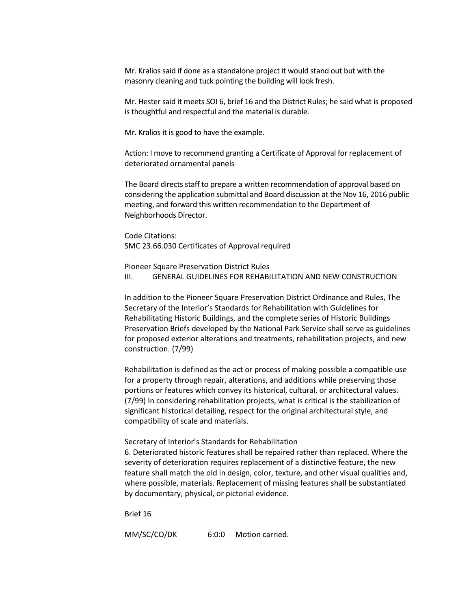Mr. Kralios said if done as a standalone project it would stand out but with the masonry cleaning and tuck pointing the building will look fresh.

Mr. Hester said it meets SOI 6, brief 16 and the District Rules; he said what is proposed is thoughtful and respectful and the material is durable.

Mr. Kralios it is good to have the example.

Action: I move to recommend granting a Certificate of Approval for replacement of deteriorated ornamental panels

The Board directs staff to prepare a written recommendation of approval based on considering the application submittal and Board discussion at the Nov 16, 2016 public meeting, and forward this written recommendation to the Department of Neighborhoods Director.

Code Citations: SMC 23.66.030 Certificates of Approval required

Pioneer Square Preservation District Rules III. GENERAL GUIDELINES FOR REHABILITATION AND NEW CONSTRUCTION

In addition to the Pioneer Square Preservation District Ordinance and Rules, The Secretary of the Interior's Standards for Rehabilitation with Guidelines for Rehabilitating Historic Buildings, and the complete series of Historic Buildings Preservation Briefs developed by the National Park Service shall serve as guidelines for proposed exterior alterations and treatments, rehabilitation projects, and new construction. (7/99)

Rehabilitation is defined as the act or process of making possible a compatible use for a property through repair, alterations, and additions while preserving those portions or features which convey its historical, cultural, or architectural values. (7/99) In considering rehabilitation projects, what is critical is the stabilization of significant historical detailing, respect for the original architectural style, and compatibility of scale and materials.

Secretary of Interior's Standards for Rehabilitation

6. Deteriorated historic features shall be repaired rather than replaced. Where the severity of deterioration requires replacement of a distinctive feature, the new feature shall match the old in design, color, texture, and other visual qualities and, where possible, materials. Replacement of missing features shall be substantiated by documentary, physical, or pictorial evidence.

[Brief 16](https://www.nps.gov/tps/how-to-preserve/briefs/16-substitute-materials.htm)

MM/SC/CO/DK 6:0:0 Motion carried.